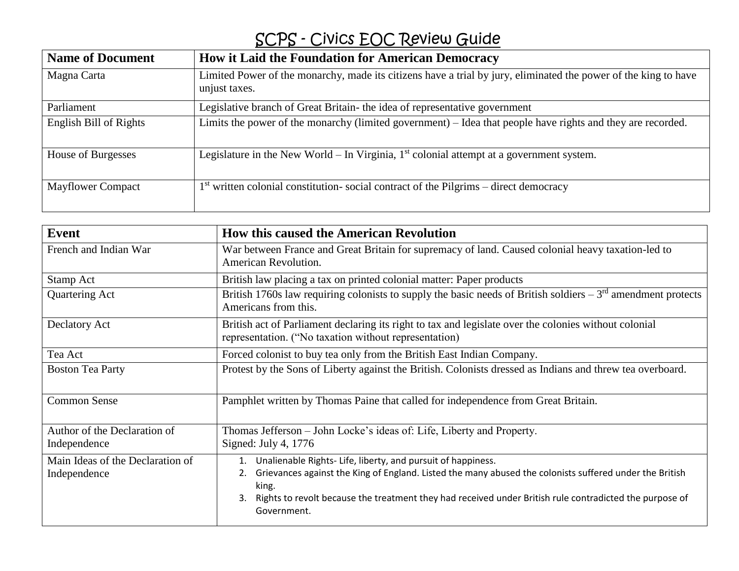# SCPS - Civics EOC Review Guide

| <b>Name of Document</b>  | How it Laid the Foundation for American Democracy                                                                                |
|--------------------------|----------------------------------------------------------------------------------------------------------------------------------|
| Magna Carta              | Limited Power of the monarchy, made its citizens have a trial by jury, eliminated the power of the king to have<br>unjust taxes. |
| Parliament               | Legislative branch of Great Britain- the idea of representative government                                                       |
| English Bill of Rights   | Limits the power of the monarchy (limited government) – Idea that people have rights and they are recorded.                      |
| House of Burgesses       | Legislature in the New World – In Virginia, $1st$ colonial attempt at a government system.                                       |
| <b>Mayflower Compact</b> | $1st$ written colonial constitution-social contract of the Pilgrims – direct democracy                                           |

| <b>Event</b>                                     | <b>How this caused the American Revolution</b>                                                                                                                                                                                                                                                            |  |
|--------------------------------------------------|-----------------------------------------------------------------------------------------------------------------------------------------------------------------------------------------------------------------------------------------------------------------------------------------------------------|--|
| French and Indian War                            | War between France and Great Britain for supremacy of land. Caused colonial heavy taxation-led to<br>American Revolution.                                                                                                                                                                                 |  |
| Stamp Act                                        | British law placing a tax on printed colonial matter: Paper products                                                                                                                                                                                                                                      |  |
| Quartering Act                                   | British 1760s law requiring colonists to supply the basic needs of British soldiers $-3^{rd}$ amendment protects<br>Americans from this.                                                                                                                                                                  |  |
| Declatory Act                                    | British act of Parliament declaring its right to tax and legislate over the colonies without colonial<br>representation. ("No taxation without representation)                                                                                                                                            |  |
| Tea Act                                          | Forced colonist to buy tea only from the British East Indian Company.                                                                                                                                                                                                                                     |  |
| <b>Boston Tea Party</b>                          | Protest by the Sons of Liberty against the British. Colonists dressed as Indians and threw tea overboard.                                                                                                                                                                                                 |  |
| <b>Common Sense</b>                              | Pamphlet written by Thomas Paine that called for independence from Great Britain.                                                                                                                                                                                                                         |  |
| Author of the Declaration of<br>Independence     | Thomas Jefferson – John Locke's ideas of: Life, Liberty and Property.<br>Signed: July 4, $1776$                                                                                                                                                                                                           |  |
| Main Ideas of the Declaration of<br>Independence | Unalienable Rights-Life, liberty, and pursuit of happiness.<br>Grievances against the King of England. Listed the many abused the colonists suffered under the British<br>king.<br>Rights to revolt because the treatment they had received under British rule contradicted the purpose of<br>Government. |  |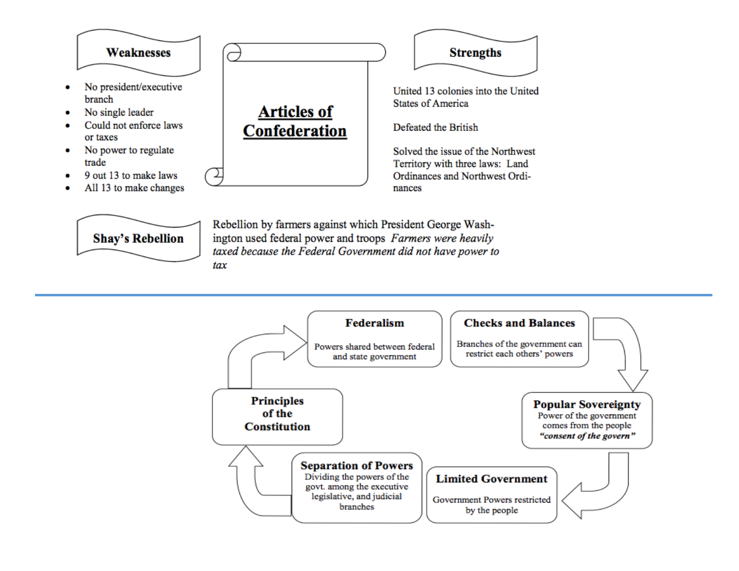

tax

ington used federal power and troops Farmers were heavily taxed because the Federal Government did not have power to

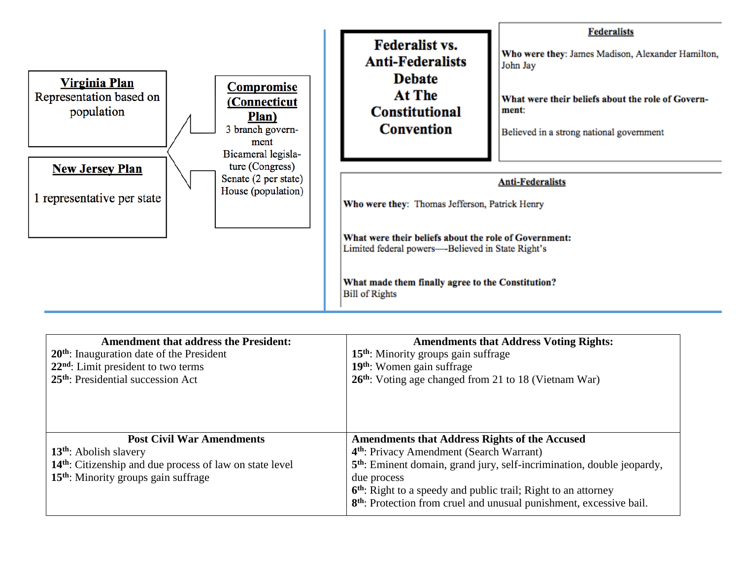

| <b>Amendment that address the President:</b>                                                                                                                                   | <b>Amendments that Address Voting Rights:</b>                                                                                                                                                                                                                                                                                                                                      |
|--------------------------------------------------------------------------------------------------------------------------------------------------------------------------------|------------------------------------------------------------------------------------------------------------------------------------------------------------------------------------------------------------------------------------------------------------------------------------------------------------------------------------------------------------------------------------|
| $20th$ : Inauguration date of the President                                                                                                                                    | 15 <sup>th</sup> : Minority groups gain suffrage                                                                                                                                                                                                                                                                                                                                   |
| $22nd$ : Limit president to two terms                                                                                                                                          | 19 <sup>th</sup> : Women gain suffrage                                                                                                                                                                                                                                                                                                                                             |
| $25th$ : Presidential succession Act                                                                                                                                           | 26 <sup>th</sup> : Voting age changed from 21 to 18 (Vietnam War)                                                                                                                                                                                                                                                                                                                  |
| <b>Post Civil War Amendments</b><br>$13th$ : Abolish slavery<br>$14th$ : Citizenship and due process of law on state level<br>15 <sup>th</sup> : Minority groups gain suffrage | <b>Amendments that Address Rights of the Accused</b><br>4 <sup>th</sup> : Privacy Amendment (Search Warrant)<br>5 <sup>th</sup> : Eminent domain, grand jury, self-incrimination, double jeopardy,<br>due process<br>6 <sup>th</sup> : Right to a speedy and public trail; Right to an attorney<br>8 <sup>th</sup> : Protection from cruel and unusual punishment, excessive bail. |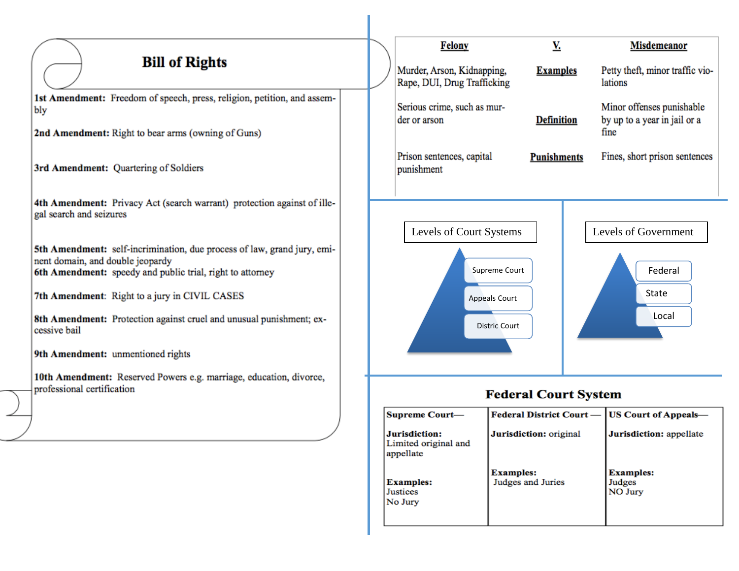## **Bill of Rights**

1st Amendment: Freedom of speech, press, religion, petition, and assembly

2nd Amendment: Right to bear arms (owning of Guns)

3rd Amendment: Quartering of Soldiers

4th Amendment: Privacy Act (search warrant) protection against of illegal search and seizures

5th Amendment: self-incrimination, due process of law, grand jury, eminent domain, and double jeopardy 6th Amendment: speedy and public trial, right to attorney

7th Amendment: Right to a jury in CIVIL CASES

8th Amendment: Protection against cruel and unusual punishment; excessive bail

9th Amendment: unmentioned rights

10th Amendment: Reserved Powers e.g. marriage, education, divorce, professional certification



**Examples:** 

Judges and Juries

**Examples:** 

Judges

NO Jury

Limited original and

appellate

**Examples:** 

**Justices** 

No Jury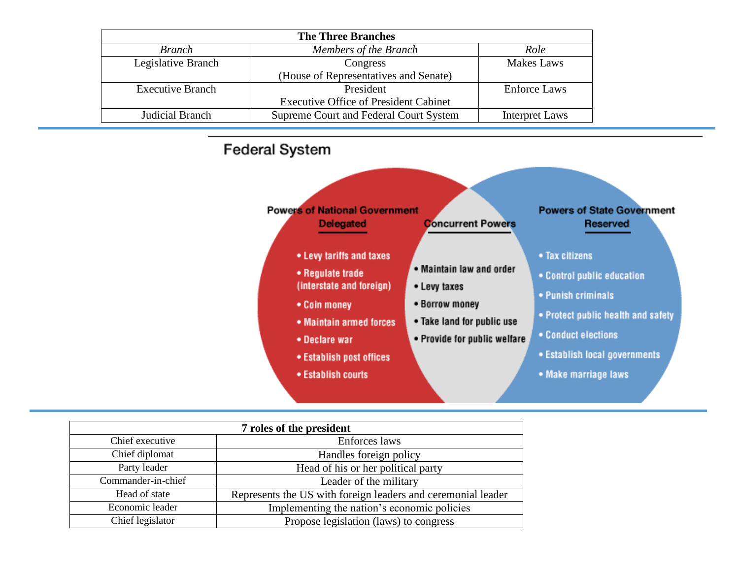| <b>The Three Branches</b> |                                              |                     |
|---------------------------|----------------------------------------------|---------------------|
| <b>Branch</b>             | Members of the Branch                        | Role                |
| Legislative Branch        | Congress                                     | Makes Laws          |
|                           | (House of Representatives and Senate)        |                     |
| <b>Executive Branch</b>   | President                                    | <b>Enforce Laws</b> |
|                           | <b>Executive Office of President Cabinet</b> |                     |
| Judicial Branch           | Supreme Court and Federal Court System       | Interpret Laws      |



| 7 roles of the president |                                                              |  |
|--------------------------|--------------------------------------------------------------|--|
| Chief executive          | Enforces laws                                                |  |
| Chief diplomat           | Handles foreign policy                                       |  |
| Party leader             | Head of his or her political party                           |  |
| Commander-in-chief       | Leader of the military                                       |  |
| Head of state            | Represents the US with foreign leaders and ceremonial leader |  |
| Economic leader          | Implementing the nation's economic policies                  |  |
| Chief legislator         | Propose legislation (laws) to congress                       |  |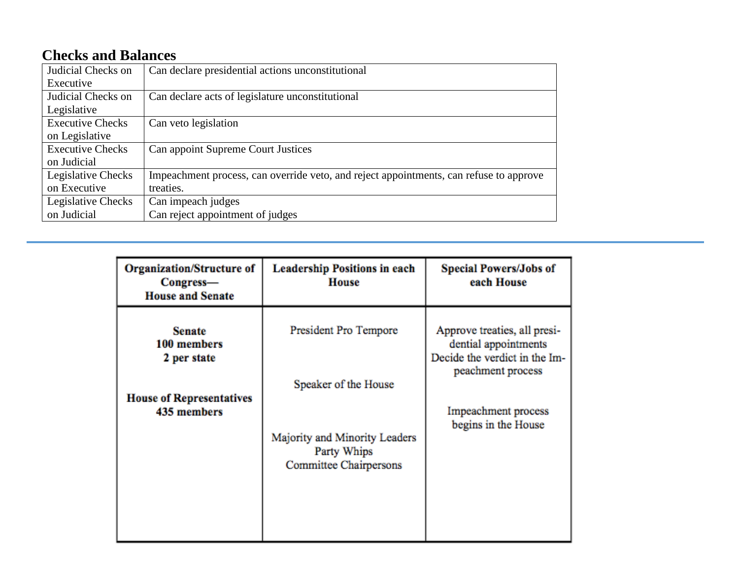### **Checks and Balances**

| Judicial Checks on      | Can declare presidential actions unconstitutional                                      |
|-------------------------|----------------------------------------------------------------------------------------|
| Executive               |                                                                                        |
| Judicial Checks on      | Can declare acts of legislature unconstitutional                                       |
| Legislative             |                                                                                        |
| <b>Executive Checks</b> | Can veto legislation                                                                   |
| on Legislative          |                                                                                        |
| <b>Executive Checks</b> | Can appoint Supreme Court Justices                                                     |
| on Judicial             |                                                                                        |
| Legislative Checks      | Impeachment process, can override veto, and reject appointments, can refuse to approve |
| on Executive            | treaties.                                                                              |
| Legislative Checks      | Can impeach judges                                                                     |
| on Judicial             | Can reject appointment of judges                                                       |

| Organization/Structure of<br>Congress-<br><b>House and Senate</b> | <b>Leadership Positions in each</b><br>House                           | <b>Special Powers/Jobs of</b><br>each House                                           |
|-------------------------------------------------------------------|------------------------------------------------------------------------|---------------------------------------------------------------------------------------|
| <b>Senate</b><br>100 members<br>2 per state                       | President Pro Tempore                                                  | Approve treaties, all presi-<br>dential appointments<br>Decide the verdict in the Im- |
| <b>House of Representatives</b><br>435 members                    | Speaker of the House                                                   | peachment process<br>Impeachment process                                              |
|                                                                   | Majority and Minority Leaders<br>Party Whips<br>Committee Chairpersons | begins in the House                                                                   |
|                                                                   |                                                                        |                                                                                       |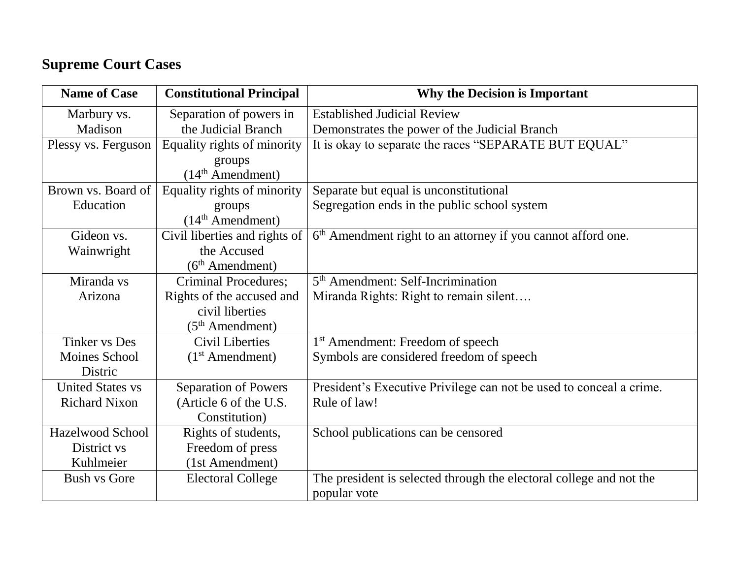### **Supreme Court Cases**

| <b>Name of Case</b>     | <b>Constitutional Principal</b>   | Why the Decision is Important                                            |
|-------------------------|-----------------------------------|--------------------------------------------------------------------------|
| Marbury vs.             | Separation of powers in           | <b>Established Judicial Review</b>                                       |
| Madison                 | the Judicial Branch               | Demonstrates the power of the Judicial Branch                            |
| Plessy vs. Ferguson     | Equality rights of minority       | It is okay to separate the races "SEPARATE BUT EQUAL"                    |
|                         | groups                            |                                                                          |
|                         | $(14th$ Amendment)                |                                                                          |
| Brown vs. Board of      | Equality rights of minority       | Separate but equal is unconstitutional                                   |
| Education               | groups                            | Segregation ends in the public school system                             |
|                         | $(14th$ Amendment)                |                                                                          |
| Gideon vs.              | Civil liberties and rights of     | 6 <sup>th</sup> Amendment right to an attorney if you cannot afford one. |
| Wainwright              | the Accused                       |                                                                          |
|                         | $(6th$ Amendment)                 |                                                                          |
| Miranda vs              | <b>Criminal Procedures;</b>       | 5 <sup>th</sup> Amendment: Self-Incrimination                            |
| Arizona                 | Rights of the accused and         | Miranda Rights: Right to remain silent                                   |
|                         | civil liberties                   |                                                                          |
|                         | $(5th$ Amendment)                 |                                                                          |
| <b>Tinker vs Des</b>    | Civil Liberties                   | 1 <sup>st</sup> Amendment: Freedom of speech                             |
| Moines School           | (1 <sup>st</sup> A<br>methodment) | Symbols are considered freedom of speech                                 |
| Distric                 |                                   |                                                                          |
| <b>United States vs</b> | <b>Separation of Powers</b>       | President's Executive Privilege can not be used to conceal a crime.      |
| <b>Richard Nixon</b>    | (Article 6 of the U.S.            | Rule of law!                                                             |
|                         | Constitution)                     |                                                                          |
| <b>Hazelwood School</b> | Rights of students,               | School publications can be censored                                      |
| District vs             | Freedom of press                  |                                                                          |
| Kuhlmeier               | (1st Amendment)                   |                                                                          |
| <b>Bush vs Gore</b>     | <b>Electoral College</b>          | The president is selected through the electoral college and not the      |
|                         |                                   | popular vote                                                             |